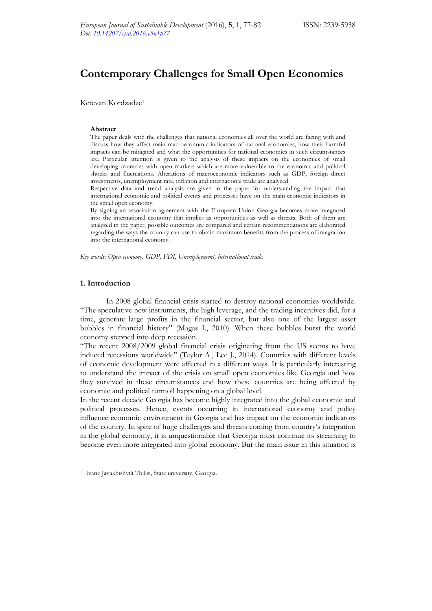# **Contemporary Challenges for Small Open Economies**

Ketevan Kordzadze1

#### **Abstract**

The paper deals with the challenges that national economies all over the world are facing with and discuss how they affect main macroeconomic indicators of national economies, how their harmful impacts can be mitigated and what the opportunities for national economies in such circumstances are. Particular attention is given to the analysis of these impacts on the economies of small developing countries with open markets which are more vulnerable to the economic and political shocks and fluctuations. Alterations of macroeconomic indicators such as GDP, foreign direct investments, unemployment rate, inflation and international trade are analyzed.

Respective data and trend analysis are given in the paper for understanding the impact that international economic and political events and processes have on the main economic indicators in the small open economy.

By signing an association agreement with the European Union Georgia becomes more integrated into the international economy that implies as opportunities as well as threats. Both of them are analyzed in the paper, possible outcomes are compared and certain recommendations are elaborated regarding the ways the country can use to obtain maximum benefits from the process of integration into the international economy.

*Key words: Open economy, GDP, FDI, Unemployment, international trade.* 

## **1. Introduction**

In 2008 global financial crisis started to destroy national economies worldwide. "The speculative new instruments, the high leverage, and the trading incentives did, for a time, generate large profits in the financial sector, but also one of the largest asset bubbles in financial history" (Magas I., 2010). When these bubbles burst the world economy stepped into deep recession.

"The recent 2008/2009 global financial crisis originating from the US seems to have induced recessions worldwide" (Taylor A., Lee J., 2014). Countries with different levels of economic development were affected in a different ways. It is particularly interesting to understand the impact of the crisis on small open economies like Georgia and how they survived in these circumstances and how these countries are being affected by economic and political turmoil happening on a global level.

In the recent decade Georgia has become highly integrated into the global economic and political processes. Hence, events occurring in international economy and policy influence economic environment in Georgia and has impact on the economic indicators of the country. In spite of huge challenges and threats coming from country's integration in the global economy, it is unquestionable that Georgia must continue its streaming to become even more integrated into global economy. But the main issue in this situation is

<sup>|1</sup>Ivane Javakhishvili Tbilisi, State university, Georgia.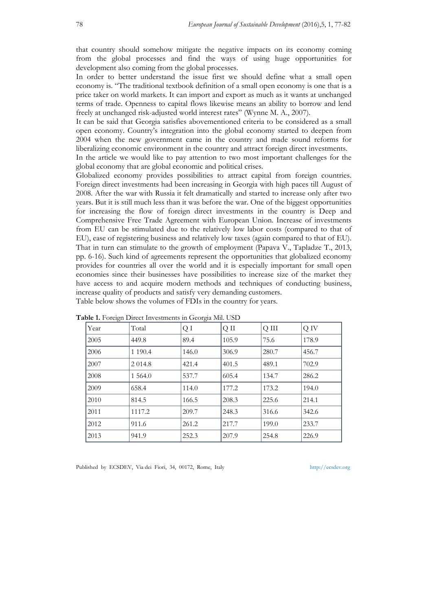that country should somehow mitigate the negative impacts on its economy coming from the global processes and find the ways of using huge opportunities for development also coming from the global processes.

In order to better understand the issue first we should define what a small open economy is. "The traditional textbook definition of a small open economy is one that is a price taker on world markets. It can import and export as much as it wants at unchanged terms of trade. Openness to capital flows likewise means an ability to borrow and lend freely at unchanged risk-adjusted world interest rates" (Wynne M. A., 2007).

It can be said that Georgia satisfies abovementioned criteria to be considered as a small open economy. Country's integration into the global economy started to deepen from 2004 when the new government came in the country and made sound reforms for liberalizing economic environment in the country and attract foreign direct investments.

In the article we would like to pay attention to two most important challenges for the global economy that are global economic and political crises.

Globalized economy provides possibilities to attract capital from foreign countries. Foreign direct investments had been increasing in Georgia with high paces till August of 2008. After the war with Russia it felt dramatically and started to increase only after two years. But it is still much less than it was before the war. One of the biggest opportunities for increasing the flow of foreign direct investments in the country is Deep and Comprehensive Free Trade Agreement with European Union. Increase of investments from EU can be stimulated due to the relatively low labor costs (compared to that of EU), ease of registering business and relatively low taxes (again compared to that of EU). That in turn can stimulate to the growth of employment (Papava V., Tapladze T., 2013, pp. 6-16). Such kind of agreements represent the opportunities that globalized economy provides for countries all over the world and it is especially important for small open economies since their businesses have possibilities to increase size of the market they have access to and acquire modern methods and techniques of conducting business, increase quality of products and satisfy very demanding customers. Table below shows the volumes of FDIs in the country for years.

| $\sim$ $\sim$ |            | $\circ$ |       |       |       |
|---------------|------------|---------|-------|-------|-------|
| Year          | Total      | QI      | Q II  | Q III | Q IV  |
| 2005          | 449.8      | 89.4    | 105.9 | 75.6  | 178.9 |
| 2006          | 1 1 9 0.4  | 146.0   | 306.9 | 280.7 | 456.7 |
| 2007          | 2 0 1 4.8  | 421.4   | 401.5 | 489.1 | 702.9 |
| 2008          | 1 5 6 4 .0 | 537.7   | 605.4 | 134.7 | 286.2 |
| 2009          | 658.4      | 114.0   | 177.2 | 173.2 | 194.0 |
| 2010          | 814.5      | 166.5   | 208.3 | 225.6 | 214.1 |
| 2011          | 1117.2     | 209.7   | 248.3 | 316.6 | 342.6 |
| 2012          | 911.6      | 261.2   | 217.7 | 199.0 | 233.7 |
| 2013          | 941.9      | 252.3   | 207.9 | 254.8 | 226.9 |
|               |            |         |       |       |       |

**Table 1.** Foreign Direct Investments in Georgia Mil. USD

Published by ECSDEV, Via dei Fiori, 34, 00172, Rome, Italy http://ecsdev.org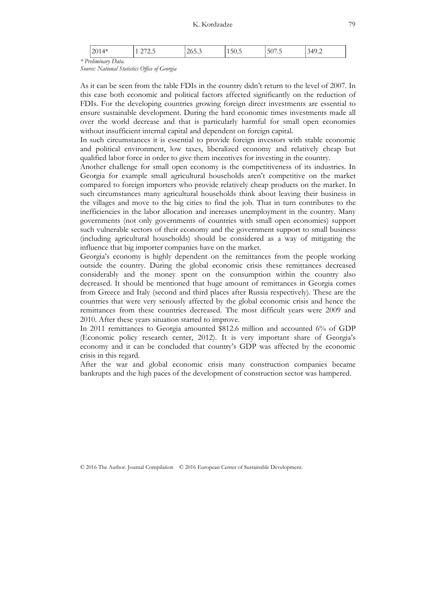|                    | - 714 41<br>⊤⊥ ∪∟.     | ا ت<br>ر. . ب | 20.0 | $\sim$<br>150.5 | $-$<br>50<br>$\cdot$ . $\cdot$ | 340<br>$\cdot$ |
|--------------------|------------------------|---------------|------|-----------------|--------------------------------|----------------|
| $*$ D <sub>r</sub> | Prehminary<br>rv Data. |               |      |                 |                                |                |

*Source: National Statistics Office of Georgia* 

As it can be seen from the table FDIs in the country didn't return to the level of 2007. In this case both economic and political factors affected significantly on the reduction of FDIs. For the developing countries growing foreign direct investments are essential to ensure sustainable development. During the hard economic times investments made all over the world decrease and that is particularly harmful for small open economies without insufficient internal capital and dependent on foreign capital.

In such circumstances it is essential to provide foreign investors with stable economic and political environment, low taxes, liberalized economy and relatively cheap but qualified labor force in order to give them incentives for investing in the country.

Another challenge for small open economy is the competitiveness of its industries. In Georgia for example small agricultural households aren't competitive on the market compared to foreign importers who provide relatively cheap products on the market. In such circumstances many agricultural households think about leaving their business in the villages and move to the big cities to find the job. That in turn contributes to the inefficiencies in the labor allocation and increases unemployment in the country. Many governments (not only governments of countries with small open economies) support such vulnerable sectors of their economy and the government support to small business (including agricultural households) should be considered as a way of mitigating the influence that big importer companies have on the market.

Georgia's economy is highly dependent on the remittances from the people working outside the country. During the global economic crisis these remittances decreased considerably and the money spent on the consumption within the country also decreased. It should be mentioned that huge amount of remittances in Georgia comes from Greece and Italy (second and third places after Russia respectively). These are the countries that were very seriously affected by the global economic crisis and hence the remittances from these countries decreased. The most difficult years were 2009 and 2010. After these years situation started to improve.

In 2011 remittances to Georgia amounted \$812.6 million and accounted 6% of GDP (Economic policy research center, 2012). It is very important share of Georgia's economy and it can be concluded that country's GDP was affected by the economic crisis in this regard.

After the war and global economic crisis many construction companies became bankrupts and the high paces of the development of construction sector was hampered.

© 2016 The Author. Journal Compilation © 2016 European Center of Sustainable Development.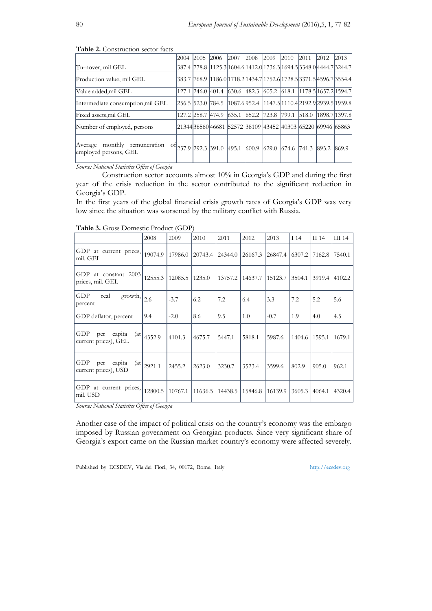|                                                          | 2004 | 2005              | 2006                            | 2007                            | 2008   | 2009        | 2010  | 2011  | 2012  | 2013                                                                  |
|----------------------------------------------------------|------|-------------------|---------------------------------|---------------------------------|--------|-------------|-------|-------|-------|-----------------------------------------------------------------------|
| Turnover, mil GEL                                        |      |                   |                                 |                                 |        |             |       |       |       | 387.4  778.8  1125.3 1604.6 1412.0 1736.3 1694.5 3348.0 4444.7 3244.7 |
| Production value, mil GEL                                |      |                   |                                 |                                 |        |             |       |       |       | 383.7  768.9  1186.0 1718.2 1434.7 1752.6 1728.5 3371.5 4596.7 3554.4 |
| Value added.mil GEL                                      |      | 127.1 246.0 401.4 |                                 | $\vert 630.6 \vert 482.3 \vert$ |        |             |       |       |       | 605.2  618.1  1178.5 1657.2 1594.7                                    |
| Intermediate consumption, mil GEL                        |      |                   |                                 |                                 |        |             |       |       |       | 256.5  523.0  784.5  1087.6 952.4  1147.5 1110.4 2192.9 2939.5 1959.8 |
| Fixed assets,mil GEL                                     |      | 127.2 258.7 474.9 |                                 | 635.1                           | 1652.2 | 723.8 799.1 |       | 518.0 |       | 1898.7 1397.8                                                         |
| Number of employed, persons                              |      |                   |                                 |                                 |        |             |       |       |       | 21344 38560 46681  52572  38109  43452  40303  65220  69946  65863    |
| monthly remuneration<br>Average<br>employed persons, GEL |      |                   | <sup>of</sup> 237.9 292.3 391.0 | 495.1                           | 600.9  | 629.0       | 674.6 | 741.3 | 893.2 | 869.9                                                                 |

**Table 2.** Construction sector facts

*Source: National Statistics Office of Georgia* 

 Construction sector accounts almost 10% in Georgia's GDP and during the first year of the crisis reduction in the sector contributed to the significant reduction in Georgia's GDP.

In the first years of the global financial crisis growth rates of Georgia's GDP was very low since the situation was worsened by the military conflict with Russia.

|                                                     | 2008    | 2009    | 2010    | 2011    | 2012    | 2013    | I 14   | II 14  | III 14 |
|-----------------------------------------------------|---------|---------|---------|---------|---------|---------|--------|--------|--------|
| GDP at current prices,<br>mil. GEL                  | 19074.9 | 17986.0 | 20743.4 | 24344.0 | 26167.3 | 26847.4 | 6307.2 | 7162.8 | 7540.1 |
| GDP at constant 2003<br>prices, mil. GEL            | 12555.3 | 12085.5 | 1235.0  | 13757.2 | 14637.7 | 15123.7 | 3504.1 | 3919.4 | 4102.2 |
| GDP<br>real<br>growth,<br>percent                   | 2.6     | $-3.7$  | 6.2     | 7.2     | 6.4     | 3.3     | 7.2    | 5.2    | 5.6    |
| GDP deflator, percent                               | 9.4     | $-2.0$  | 8.6     | 9.5     | 1.0     | $-0.7$  | 1.9    | 4.0    | 4.5    |
| GDP<br>capita<br>per<br>(at<br>current prices), GEL | 4352.9  | 4101.3  | 4675.7  | 5447.1  | 5818.1  | 5987.6  | 1404.6 | 1595.1 | 1679.1 |
| GDP<br>capita<br>(at<br>per<br>current prices), USD | 2921.1  | 2455.2  | 2623.0  | 3230.7  | 3523.4  | 3599.6  | 802.9  | 905.0  | 962.1  |
| GDP at current prices,<br>mil. USD                  | 12800.5 | 10767.1 | 11636.5 | 14438.5 | 15846.8 | 16139.9 | 3605.3 | 4064.1 | 4320.4 |

|  |  | Table 3. Gross Domestic Product (GDP) |  |  |
|--|--|---------------------------------------|--|--|
|--|--|---------------------------------------|--|--|

*Source: National Statistics Office of Georgia* 

Another case of the impact of political crisis on the country's economy was the embargo imposed by Russian government on Georgian products. Since very significant share of Georgia's export came on the Russian market country's economy were affected severely.

Published by ECSDEV, Via dei Fiori, 34, 00172, Rome, Italy http://ecsdev.org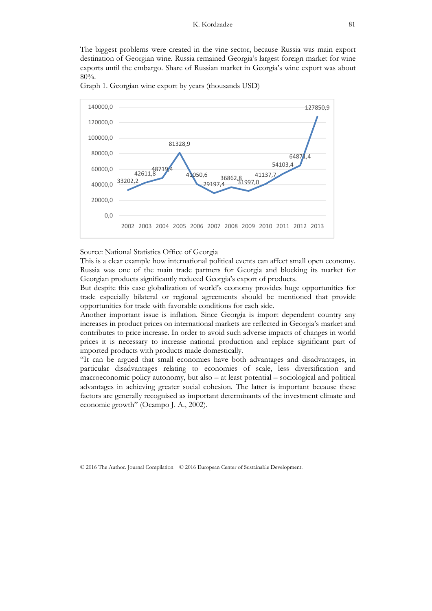The biggest problems were created in the vine sector, because Russia was main export destination of Georgian wine. Russia remained Georgia's largest foreign market for wine exports until the embargo. Share of Russian market in Georgia's wine export was about 80%.



Graph 1. Georgian wine export by years (thousands USD)

#### Source: National Statistics Office of Georgia

This is a clear example how international political events can affect small open economy. Russia was one of the main trade partners for Georgia and blocking its market for Georgian products significantly reduced Georgia's export of products.

But despite this case globalization of world's economy provides huge opportunities for trade especially bilateral or regional agreements should be mentioned that provide opportunities for trade with favorable conditions for each side.

Another important issue is inflation. Since Georgia is import dependent country any increases in product prices on international markets are reflected in Georgia's market and contributes to price increase. In order to avoid such adverse impacts of changes in world prices it is necessary to increase national production and replace significant part of imported products with products made domestically.

"It can be argued that small economies have both advantages and disadvantages, in particular disadvantages relating to economies of scale, less diversification and macroeconomic policy autonomy, but also – at least potential – sociological and political advantages in achieving greater social cohesion. The latter is important because these factors are generally recognised as important determinants of the investment climate and economic growth" (Ocampo J. A., 2002).

© 2016 The Author. Journal Compilation © 2016 European Center of Sustainable Development.